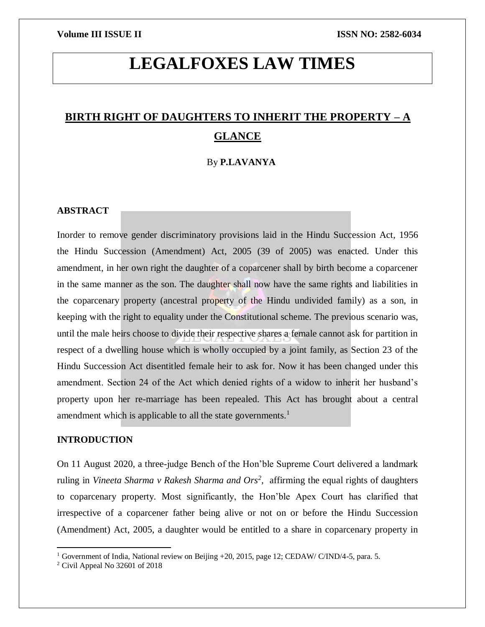# **LEGALFOXES LAW TIMES**

## **BIRTH RIGHT OF DAUGHTERS TO INHERIT THE PROPERTY – A GLANCE**

### By **P.LAVANYA**

#### **ABSTRACT**

Inorder to remove gender discriminatory provisions laid in the Hindu Succession Act, 1956 the Hindu Succession (Amendment) Act, 2005 (39 of 2005) was enacted. Under this amendment, in her own right the daughter of a coparcener shall by birth become a coparcener in the same manner as the son. The daughter shall now have the same rights and liabilities in the coparcenary property (ancestral property of the Hindu undivided family) as a son, in keeping with the right to equality under the Constitutional scheme. The previous scenario was, until the male heirs choose to divide their respective shares a female cannot ask for partition in respect of a dwelling house which is wholly occupied by a joint family, as Section 23 of the Hindu Succession Act disentitled female heir to ask for. Now it has been changed under this amendment. Section 24 of the Act which denied rights of a widow to inherit her husband's property upon her re-marriage has been repealed. This Act has brought about a central amendment which is applicable to all the state governments.<sup>1</sup>

### **INTRODUCTION**

On 11 August 2020, a three-judge Bench of the Hon'ble Supreme Court delivered a landmark ruling in *Vineeta Sharma v Rakesh Sharma and Ors<sup>2</sup>*, affirming the equal rights of daughters to coparcenary property. Most significantly, the Hon'ble Apex Court has clarified that irrespective of a coparcener father being alive or not on or before the Hindu Succession (Amendment) Act, 2005, a daughter would be entitled to a share in coparcenary property in

 $\overline{\phantom{a}}$ 

<sup>&</sup>lt;sup>1</sup> Government of India, National review on Beijing +20, 2015, page 12; CEDAW/ C/IND/4-5, para. 5.

<sup>2</sup> Civil Appeal No 32601 of 2018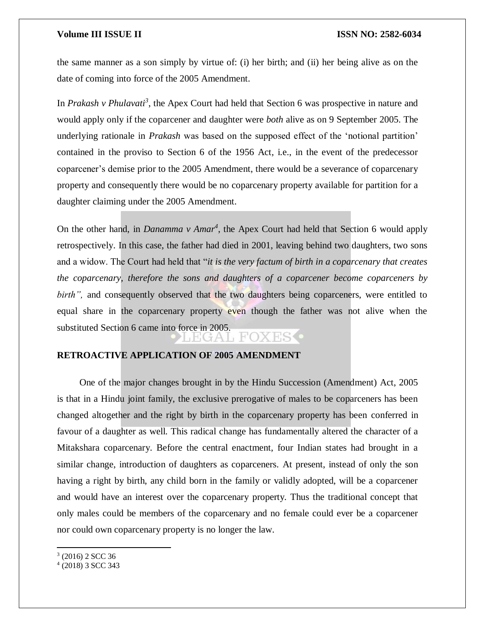#### **Volume III ISSUE II ISSN NO: 2582-6034**

the same manner as a son simply by virtue of: (i) her birth; and (ii) her being alive as on the date of coming into force of the 2005 Amendment.

In *Prakash v Phulavati<sup>3</sup>* , the Apex Court had held that Section 6 was prospective in nature and would apply only if the coparcener and daughter were *both* alive as on 9 September 2005. The underlying rationale in *Prakash* was based on the supposed effect of the 'notional partition' contained in the proviso to Section 6 of the 1956 Act, i.e., in the event of the predecessor coparcener's demise prior to the 2005 Amendment, there would be a severance of coparcenary property and consequently there would be no coparcenary property available for partition for a daughter claiming under the 2005 Amendment.

On the other hand, in *Danamma v Amar<sup>4</sup>* , the Apex Court had held that Section 6 would apply retrospectively. In this case, the father had died in 2001, leaving behind two daughters, two sons and a widow. The Court had held that "*it is the very factum of birth in a coparcenary that creates the coparcenary, therefore the sons and daughters of a coparcener become coparceners by birth"*, and consequently observed that the two daughters being coparceners, were entitled to equal share in the coparcenary property even though the father was not alive when the substituted Section 6 came into force in 2005.

 $H^{\prime}(.)$ 

### **RETROACTIVE APPLICATION OF 2005 AMENDMENT**

One of the major changes brought in by the Hindu Succession (Amendment) Act, 2005 is that in a Hindu joint family, the exclusive prerogative of males to be coparceners has been changed altogether and the right by birth in the coparcenary property has been conferred in favour of a daughter as well. This radical change has fundamentally altered the character of a Mitakshara coparcenary. Before the central enactment, four Indian states had brought in a similar change, introduction of daughters as coparceners. At present, instead of only the son having a right by birth, any child born in the family or validly adopted, will be a coparcener and would have an interest over the coparcenary property. Thus the traditional concept that only males could be members of the coparcenary and no female could ever be a coparcener nor could own coparcenary property is no longer the law.

 $\overline{\phantom{a}}$ 

<sup>3</sup> (2016) 2 SCC 36

<sup>4</sup> (2018) 3 SCC 343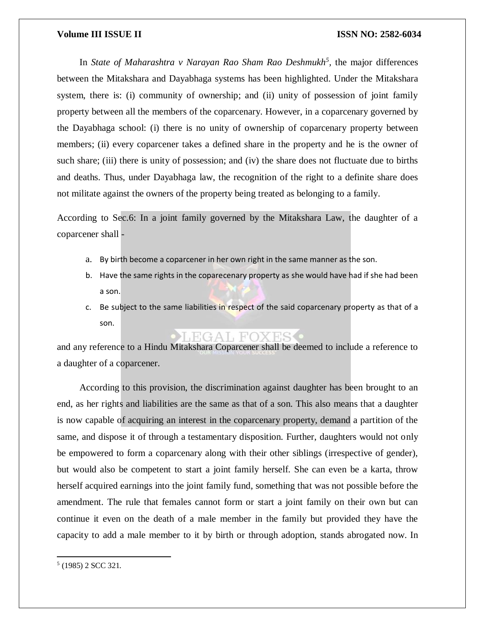### **Volume III ISSUE II ISSUE II ISSN NO:** 2582-6034

In *State of Maharashtra v Narayan Rao Sham Rao Deshmukh<sup>5</sup> ,* the major differences between the Mitakshara and Dayabhaga systems has been highlighted. Under the Mitakshara system, there is: (i) community of ownership; and (ii) unity of possession of joint family property between all the members of the coparcenary. However, in a coparcenary governed by the Dayabhaga school: (i) there is no unity of ownership of coparcenary property between members; (ii) every coparcener takes a defined share in the property and he is the owner of such share; (iii) there is unity of possession; and (iv) the share does not fluctuate due to births and deaths. Thus, under Dayabhaga law, the recognition of the right to a definite share does not militate against the owners of the property being treated as belonging to a family.

According to Sec.6: In a joint family governed by the Mitakshara Law, the daughter of a coparcener shall -

- a. By birth become a coparcener in her own right in the same manner as the son.
- b. Have the same rights in the coparecenary property as she would have had if she had been a son.
- c. Be subject to the same liabilities in respect of the said coparcenary property as that of a son.

#### LEGAL FO

and any reference to a Hindu Mitakshara Coparcener shall be deemed to include a reference to a daughter of a coparcener.

According to this provision, the discrimination against daughter has been brought to an end, as her rights and liabilities are the same as that of a son. This also means that a daughter is now capable of acquiring an interest in the coparcenary property, demand a partition of the same, and dispose it of through a testamentary disposition. Further, daughters would not only be empowered to form a coparcenary along with their other siblings (irrespective of gender), but would also be competent to start a joint family herself. She can even be a karta, throw herself acquired earnings into the joint family fund, something that was not possible before the amendment. The rule that females cannot form or start a joint family on their own but can continue it even on the death of a male member in the family but provided they have the capacity to add a male member to it by birth or through adoption, stands abrogated now. In

 $\overline{a}$ 

<sup>5</sup> (1985) 2 SCC 321*.*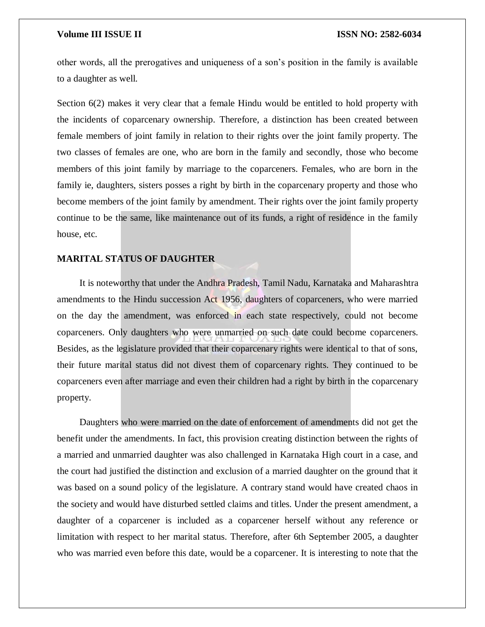#### **Volume III ISSUE II ISSN NO: 2582-6034**

other words, all the prerogatives and uniqueness of a son's position in the family is available to a daughter as well.

Section 6(2) makes it very clear that a female Hindu would be entitled to hold property with the incidents of coparcenary ownership. Therefore, a distinction has been created between female members of joint family in relation to their rights over the joint family property. The two classes of females are one, who are born in the family and secondly, those who become members of this joint family by marriage to the coparceners. Females, who are born in the family ie, daughters, sisters posses a right by birth in the coparcenary property and those who become members of the joint family by amendment. Their rights over the joint family property continue to be the same, like maintenance out of its funds, a right of residence in the family house, etc.

#### **MARITAL STATUS OF DAUGHTER**

It is noteworthy that under the Andhra Pradesh, Tamil Nadu, Karnataka and Maharashtra amendments to the Hindu succession Act 1956, daughters of coparceners, who were married on the day the amendment, was enforced in each state respectively, could not become coparceners. Only daughters who were unmarried on such date could become coparceners. Besides, as the legislature provided that their coparcenary rights were identical to that of sons, their future marital status did not divest them of coparcenary rights. They continued to be coparceners even after marriage and even their children had a right by birth in the coparcenary property.

Daughters who were married on the date of enforcement of amendments did not get the benefit under the amendments. In fact, this provision creating distinction between the rights of a married and unmarried daughter was also challenged in Karnataka High court in a case, and the court had justified the distinction and exclusion of a married daughter on the ground that it was based on a sound policy of the legislature. A contrary stand would have created chaos in the society and would have disturbed settled claims and titles. Under the present amendment, a daughter of a coparcener is included as a coparcener herself without any reference or limitation with respect to her marital status. Therefore, after 6th September 2005, a daughter who was married even before this date, would be a coparcener. It is interesting to note that the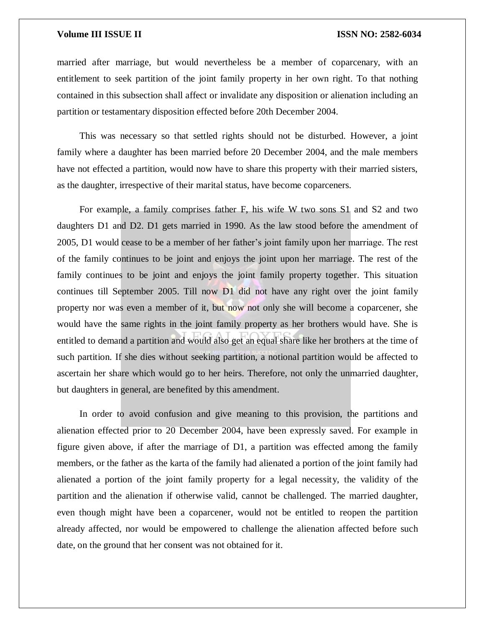### **Volume III ISSUE II ISSUE II ISSN NO:** 2582-6034

married after marriage, but would nevertheless be a member of coparcenary, with an entitlement to seek partition of the joint family property in her own right. To that nothing contained in this subsection shall affect or invalidate any disposition or alienation including an partition or testamentary disposition effected before 20th December 2004.

This was necessary so that settled rights should not be disturbed. However, a joint family where a daughter has been married before 20 December 2004, and the male members have not effected a partition, would now have to share this property with their married sisters, as the daughter, irrespective of their marital status, have become coparceners.

For example, a family comprises father F, his wife W two sons S1 and S2 and two daughters D1 and D2. D1 gets married in 1990. As the law stood before the amendment of 2005, D1 would cease to be a member of her father's joint family upon her marriage. The rest of the family continues to be joint and enjoys the joint upon her marriage. The rest of the family continues to be joint and enjoys the joint family property together. This situation continues till September 2005. Till now D1 did not have any right over the joint family property nor was even a member of it, but now not only she will become a coparcener, she would have the same rights in the joint family property as her brothers would have. She is entitled to demand a partition and would also get an equal share like her brothers at the time of such partition. If she dies without seeking partition, a notional partition would be affected to ascertain her share which would go to her heirs. Therefore, not only the unmarried daughter, but daughters in general, are benefited by this amendment.

In order to avoid confusion and give meaning to this provision, the partitions and alienation effected prior to 20 December 2004, have been expressly saved. For example in figure given above, if after the marriage of D1, a partition was effected among the family members, or the father as the karta of the family had alienated a portion of the joint family had alienated a portion of the joint family property for a legal necessity, the validity of the partition and the alienation if otherwise valid, cannot be challenged. The married daughter, even though might have been a coparcener, would not be entitled to reopen the partition already affected, nor would be empowered to challenge the alienation affected before such date, on the ground that her consent was not obtained for it.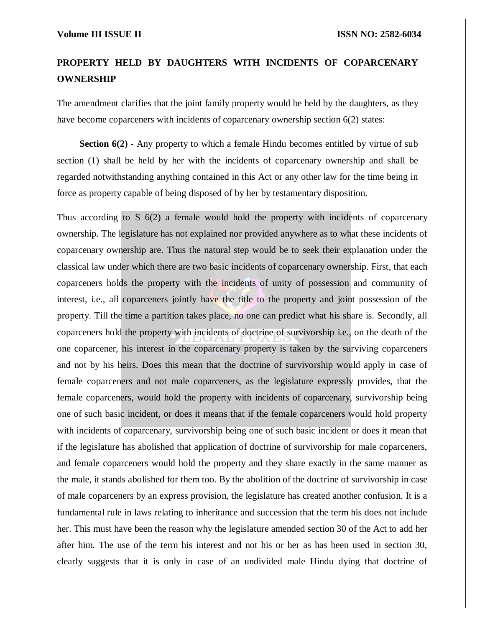#### **Volume III ISSUE II III ISSN NO:** 2582-6034

## **PROPERTY HELD BY DAUGHTERS WITH INCIDENTS OF COPARCENARY OWNERSHIP**

The amendment clarifies that the joint family property would be held by the daughters, as they have become coparceners with incidents of coparcenary ownership section 6(2) states:

**Section 6(2)** - Any property to which a female Hindu becomes entitled by virtue of sub section (1) shall be held by her with the incidents of coparcenary ownership and shall be regarded notwithstanding anything contained in this Act or any other law for the time being in force as property capable of being disposed of by her by testamentary disposition.

Thus according to S  $6(2)$  a female would hold the property with incidents of coparcenary ownership. The legislature has not explained nor provided anywhere as to what these incidents of coparcenary ownership are. Thus the natural step would be to seek their explanation under the classical law under which there are two basic incidents of coparcenary ownership. First, that each coparceners holds the property with the incidents of unity of possession and community of interest, i.e., all coparceners jointly have the title to the property and joint possession of the property. Till the time a partition takes place, no one can predict what his share is. Secondly, all coparceners hold the property with incidents of doctrine of survivorship i.e., on the death of the one coparcener, his interest in the coparcenary property is taken by the surviving coparceners and not by his heirs. Does this mean that the doctrine of survivorship would apply in case of female coparceners and not male coparceners, as the legislature expressly provides, that the female coparceners, would hold the property with incidents of coparcenary, survivorship being one of such basic incident, or does it means that if the female coparceners would hold property with incidents of coparcenary, survivorship being one of such basic incident or does it mean that if the legislature has abolished that application of doctrine of survivorship for male coparceners, and female coparceners would hold the property and they share exactly in the same manner as the male, it stands abolished for them too. By the abolition of the doctrine of survivorship in case of male coparceners by an express provision, the legislature has created another confusion. It is a fundamental rule in laws relating to inheritance and succession that the term his does not include her. This must have been the reason why the legislature amended section 30 of the Act to add her after him. The use of the term his interest and not his or her as has been used in section 30, clearly suggests that it is only in case of an undivided male Hindu dying that doctrine of